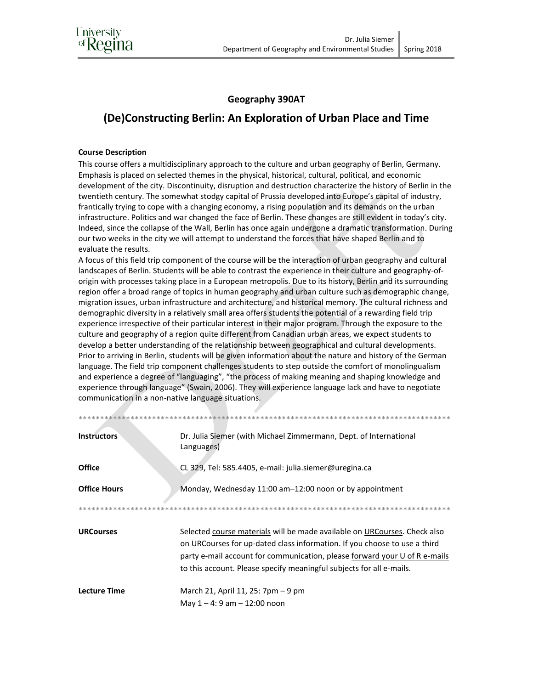

## **Geography 390AT**

## **(De)Constructing Berlin: An Exploration of Urban Place and Time**

## **Course Description**

This course offers a multidisciplinary approach to the culture and urban geography of Berlin, Germany. Emphasis is placed on selected themes in the physical, historical, cultural, political, and economic development of the city. Discontinuity, disruption and destruction characterize the history of Berlin in the twentieth century. The somewhat stodgy capital of Prussia developed into Europe's capital of industry, frantically trying to cope with a changing economy, a rising population and its demands on the urban infrastructure. Politics and war changed the face of Berlin. These changes are still evident in today's city. Indeed, since the collapse of the Wall, Berlin has once again undergone a dramatic transformation. During our two weeks in the city we will attempt to understand the forces that have shaped Berlin and to evaluate the results.

A focus of this field trip component of the course will be the interaction of urban geography and cultural landscapes of Berlin. Students will be able to contrast the experience in their culture and geography-oforigin with processes taking place in a European metropolis. Due to its history, Berlin and its surrounding region offer a broad range of topics in human geography and urban culture such as demographic change, migration issues, urban infrastructure and architecture, and historical memory. The cultural richness and demographic diversity in a relatively small area offers students the potential of a rewarding field trip experience irrespective of their particular interest in their major program. Through the exposure to the culture and geography of a region quite different from Canadian urban areas, we expect students to develop a better understanding of the relationship between geographical and cultural developments. Prior to arriving in Berlin, students will be given information about the nature and history of the German language. The field trip component challenges students to step outside the comfort of monolingualism and experience a degree of "languaging", "the process of making meaning and shaping knowledge and experience through language" (Swain, 2006). They will experience language lack and have to negotiate communication in a non-native language situations.

\*\*\*\*\*\*\*\*\*\*\*\*\*\*\*\*\*\*\*\*\*\*\*\*\*\*\*\*\*\*\*\*\*\*\*\*\*\*\*\*\*\*\*\*\*\*\*\*\*\*\*\*\*\*\*\*\*\*\*\*\*\*\*\*\*\*\*\*\*\*\*\*\*\*\*\*\*\*\*\*\*\*\*\*\*\*

| <b>Instructors</b>  | Dr. Julia Siemer (with Michael Zimmermann, Dept. of International<br>Languages)                                                                                                                                                                                                                              |
|---------------------|--------------------------------------------------------------------------------------------------------------------------------------------------------------------------------------------------------------------------------------------------------------------------------------------------------------|
| <b>Office</b>       | CL 329, Tel: 585.4405, e-mail: julia.siemer@uregina.ca                                                                                                                                                                                                                                                       |
| <b>Office Hours</b> | Monday, Wednesday 11:00 am-12:00 noon or by appointment                                                                                                                                                                                                                                                      |
|                     |                                                                                                                                                                                                                                                                                                              |
| <b>URCourses</b>    | Selected course materials will be made available on URCourses. Check also<br>on URCourses for up-dated class information. If you choose to use a third<br>party e-mail account for communication, please forward your U of R e-mails<br>to this account. Please specify meaningful subjects for all e-mails. |
| <b>Lecture Time</b> | March 21, April 11, 25: 7pm – 9 pm<br>May $1 - 4$ : 9 am $- 12$ :00 noon                                                                                                                                                                                                                                     |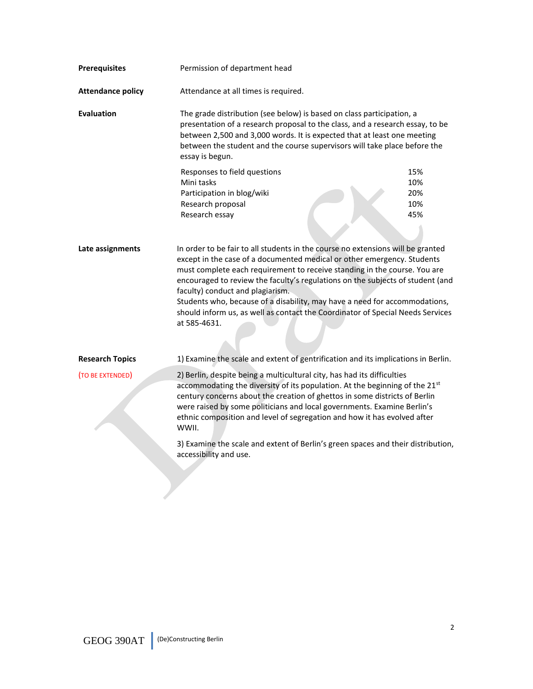| <b>Prerequisites</b>     | Permission of department head                                                                                                                                                                                                                                                                                                                                                                                                                                                                                                                 |                                 |  |  |
|--------------------------|-----------------------------------------------------------------------------------------------------------------------------------------------------------------------------------------------------------------------------------------------------------------------------------------------------------------------------------------------------------------------------------------------------------------------------------------------------------------------------------------------------------------------------------------------|---------------------------------|--|--|
| <b>Attendance policy</b> | Attendance at all times is required.                                                                                                                                                                                                                                                                                                                                                                                                                                                                                                          |                                 |  |  |
| <b>Evaluation</b>        | The grade distribution (see below) is based on class participation, a<br>presentation of a research proposal to the class, and a research essay, to be<br>between 2,500 and 3,000 words. It is expected that at least one meeting<br>between the student and the course supervisors will take place before the<br>essay is begun.                                                                                                                                                                                                             |                                 |  |  |
|                          | Responses to field questions<br>Mini tasks<br>Participation in blog/wiki<br>Research proposal<br>Research essay                                                                                                                                                                                                                                                                                                                                                                                                                               | 15%<br>10%<br>20%<br>10%<br>45% |  |  |
| Late assignments         | In order to be fair to all students in the course no extensions will be granted<br>except in the case of a documented medical or other emergency. Students<br>must complete each requirement to receive standing in the course. You are<br>encouraged to review the faculty's regulations on the subjects of student (and<br>faculty) conduct and plagiarism.<br>Students who, because of a disability, may have a need for accommodations,<br>should inform us, as well as contact the Coordinator of Special Needs Services<br>at 585-4631. |                                 |  |  |
| <b>Research Topics</b>   | 1) Examine the scale and extent of gentrification and its implications in Berlin.                                                                                                                                                                                                                                                                                                                                                                                                                                                             |                                 |  |  |
| (TO BE EXTENDED)         | 2) Berlin, despite being a multicultural city, has had its difficulties<br>accommodating the diversity of its population. At the beginning of the 21st<br>century concerns about the creation of ghettos in some districts of Berlin<br>were raised by some politicians and local governments. Examine Berlin's<br>ethnic composition and level of segregation and how it has evolved after<br>WWII.<br>3) Examine the scale and extent of Berlin's green spaces and their distribution,<br>accessibility and use.                            |                                 |  |  |
|                          |                                                                                                                                                                                                                                                                                                                                                                                                                                                                                                                                               |                                 |  |  |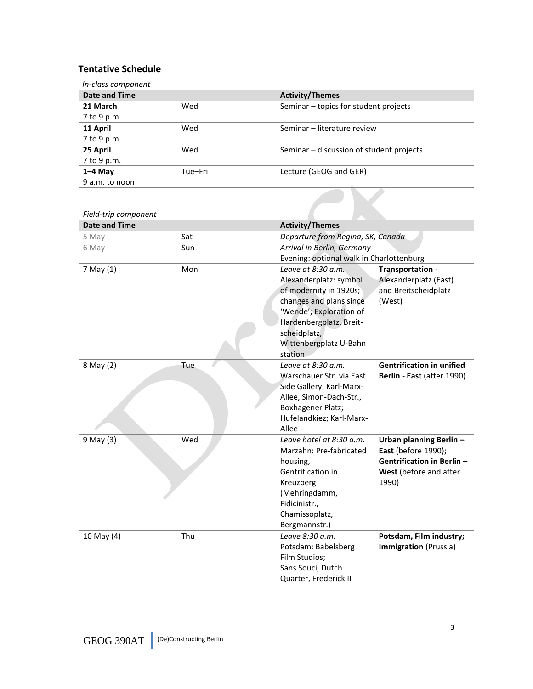## **Tentative Schedule**

| In-class component   |         |                                          |
|----------------------|---------|------------------------------------------|
| <b>Date and Time</b> |         | <b>Activity/Themes</b>                   |
| 21 March             | Wed     | Seminar – topics for student projects    |
| 7 to 9 p.m.          |         |                                          |
| 11 April             | Wed     | Seminar - literature review              |
| 7 to 9 p.m.          |         |                                          |
| 25 April             | Wed     | Seminar – discussion of student projects |
| 7 to 9 p.m.          |         |                                          |
| $1-4$ May            | Tue-Fri | Lecture (GEOG and GER)                   |
| 9 a.m. to noon       |         |                                          |
| Eigld trin component |         |                                          |

| Field-trip component |     |                                                                                                                                                                                                                                                                                                 |
|----------------------|-----|-------------------------------------------------------------------------------------------------------------------------------------------------------------------------------------------------------------------------------------------------------------------------------------------------|
| <b>Date and Time</b> |     | <b>Activity/Themes</b>                                                                                                                                                                                                                                                                          |
| 5 May                | Sat | Departure from Regina, SK, Canada                                                                                                                                                                                                                                                               |
| 6 May                | Sun | Arrival in Berlin, Germany                                                                                                                                                                                                                                                                      |
|                      |     | Evening: optional walk in Charlottenburg                                                                                                                                                                                                                                                        |
| 7 May (1)            | Mon | Leave at $8:30$ a.m.<br>Transportation -<br>Alexanderplatz: symbol<br>Alexanderplatz (East)<br>of modernity in 1920s;<br>and Breitscheidplatz<br>changes and plans since<br>(West)<br>'Wende'; Exploration of<br>Hardenbergplatz, Breit-<br>scheidplatz,<br>Wittenbergplatz U-Bahn<br>station   |
| 8 May (2)            | Tue | Leave at $8:30$ a.m.<br><b>Gentrification in unified</b><br>Warschauer Str. via East<br>Berlin - East (after 1990)<br>Side Gallery, Karl-Marx-<br>Allee, Simon-Dach-Str.,<br>Boxhagener Platz;<br>Hufelandkiez; Karl-Marx-<br>Allee                                                             |
| 9 May (3)            | Wed | Leave hotel at 8:30 a.m.<br>Urban planning Berlin-<br><b>East</b> (before 1990);<br>Marzahn: Pre-fabricated<br>Gentrification in Berlin -<br>housing,<br>Gentrification in<br>West (before and after<br>1990)<br>Kreuzberg<br>(Mehringdamm,<br>Fidicinistr.,<br>Chamissoplatz,<br>Bergmannstr.) |
| 10 May (4)           | Thu | Leave 8:30 a.m.<br>Potsdam, Film industry;<br>Potsdam: Babelsberg<br>Immigration (Prussia)<br>Film Studios;<br>Sans Souci, Dutch<br>Quarter, Frederick II                                                                                                                                       |